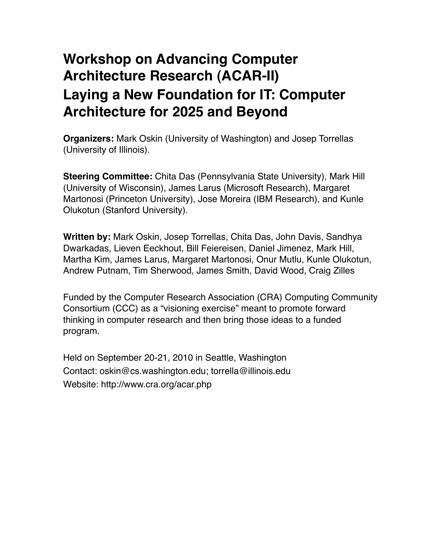# **Workshop on Advancing Computer Architecture Research (ACAR-II) Laying a New Foundation for IT: Computer Architecture for 2025 and Beyond**

**Organizers:** Mark Oskin (University of Washington) and Josep Torrellas (University of Illinois).

**Steering Committee:** Chita Das (Pennsylvania State University), Mark Hill (University of Wisconsin), James Larus (Microsoft Research), Margaret Martonosi (Princeton University), Jose Moreira (IBM Research), and Kunle Olukotun (Stanford University).

**Written by:** Mark Oskin, Josep Torrellas, Chita Das, John Davis, Sandhya Dwarkadas, Lieven Eeckhout, Bill Feiereisen, Daniel Jimenez, Mark Hill, Martha Kim, James Larus, Margaret Martonosi, Onur Mutlu, Kunle Olukotun, Andrew Putnam, Tim Sherwood, James Smith, David Wood, Craig Zilles

Funded by the Computer Research Association (CRA) Computing Community Consortium (CCC) as a "visioning exercise" meant to promote forward thinking in computer research and then bring those ideas to a funded program.

Held on September 20-21, 2010 in Seattle, Washington Contact: oskin@cs.washington.edu; torrella@illinois.edu Website: http://www.cra.org/acar.php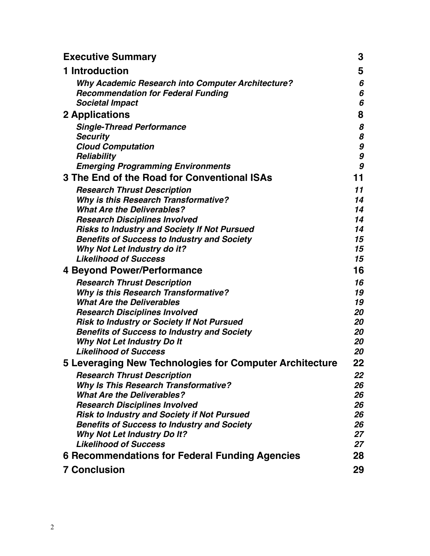| <b>Executive Summary</b>                                                          | 3        |
|-----------------------------------------------------------------------------------|----------|
| 1 Introduction                                                                    | 5        |
| <b>Why Academic Research into Computer Architecture?</b>                          | 6        |
| <b>Recommendation for Federal Funding</b>                                         | 6        |
| <b>Societal Impact</b>                                                            | 6        |
| <b>2 Applications</b>                                                             | 8        |
| <b>Single-Thread Performance</b>                                                  | 8        |
| <b>Security</b>                                                                   | 8        |
| <b>Cloud Computation</b>                                                          | 9        |
| Reliability                                                                       | 9        |
| <b>Emerging Programming Environments</b>                                          | 9        |
| 3 The End of the Road for Conventional ISAs                                       | 11       |
| <b>Research Thrust Description</b>                                                | 11       |
| <b>Why is this Research Transformative?</b>                                       | 14       |
| <b>What Are the Deliverables?</b><br><b>Research Disciplines Involved</b>         | 14<br>14 |
| <b>Risks to Industry and Society If Not Pursued</b>                               | 14       |
| <b>Benefits of Success to Industry and Society</b>                                | 15       |
| <b>Why Not Let Industry do it?</b>                                                | 15       |
| <b>Likelihood of Success</b>                                                      | 15       |
| <b>4 Beyond Power/Performance</b>                                                 | 16       |
| <b>Research Thrust Description</b>                                                | 16       |
| <b>Why is this Research Transformative?</b>                                       | 19       |
| <b>What Are the Deliverables</b>                                                  | 19       |
| <b>Research Disciplines Involved</b>                                              | 20       |
| Risk to Industry or Society If Not Pursued                                        | 20       |
| <b>Benefits of Success to Industry and Society</b>                                | 20<br>20 |
| <b>Why Not Let Industry Do It</b><br><b>Likelihood of Success</b>                 | 20       |
|                                                                                   | 22       |
| 5 Leveraging New Technologies for Computer Architecture                           |          |
| <b>Research Thrust Description</b><br><b>Why Is This Research Transformative?</b> | 22<br>26 |
| <b>What Are the Deliverables?</b>                                                 | 26       |
| <b>Research Disciplines Involved</b>                                              | 26       |
| <b>Risk to Industry and Society if Not Pursued</b>                                | 26       |
| <b>Benefits of Success to Industry and Society</b>                                | 26       |
| <b>Why Not Let Industry Do It?</b>                                                | 27       |
| <b>Likelihood of Success</b>                                                      | 27       |
| 6 Recommendations for Federal Funding Agencies                                    | 28       |
| <b>7 Conclusion</b>                                                               | 29       |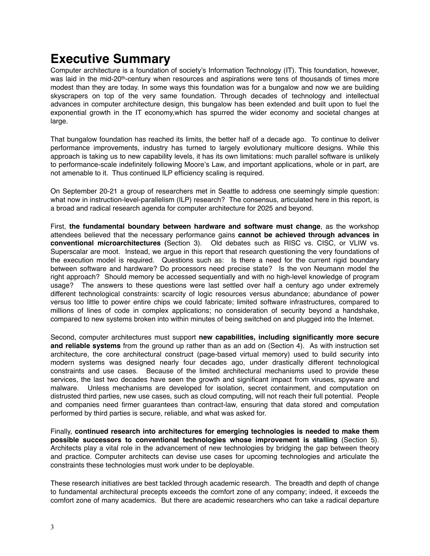## <span id="page-2-0"></span>**Executive Summary**

Computer architecture is a foundation of society's Information Technology (IT). This foundation, however, was laid in the mid-20<sup>th</sup>-century when resources and aspirations were tens of thousands of times more modest than they are today. In some ways this foundation was for a bungalow and now we are building skyscrapers on top of the very same foundation. Through decades of technology and intellectual advances in computer architecture design, this bungalow has been extended and built upon to fuel the exponential growth in the IT economy,which has spurred the wider economy and societal changes at large.

That bungalow foundation has reached its limits, the better half of a decade ago. To continue to deliver performance improvements, industry has turned to largely evolutionary multicore designs. While this approach is taking us to new capability levels, it has its own limitations: much parallel software is unlikely to performance-scale indefinitely following Moore's Law, and important applications, whole or in part, are not amenable to it. Thus continued ILP efficiency scaling is required.

On September 20-21 a group of researchers met in Seattle to address one seemingly simple question: what now in instruction-level-parallelism (ILP) research? The consensus, articulated here in this report, is a broad and radical research agenda for computer architecture for 2025 and beyond.

First, **the fundamental boundary between hardware and software must change**, as the workshop attendees believed that the necessary performance gains **cannot be achieved through advances in conventional microarchitectures (**Section 3). Old debates such as RISC vs. CISC, or VLIW vs. Superscalar are moot. Instead, we argue in this report that research questioning the very foundations of the execution model is required. Questions such as: Is there a need for the current rigid boundary between software and hardware? Do processors need precise state? Is the von Neumann model the right approach? Should memory be accessed sequentially and with no high-level knowledge of program usage? The answers to these questions were last settled over half a century ago under extremely different technological constraints: scarcity of logic resources versus abundance; abundance of power versus too little to power entire chips we could fabricate; limited software infrastructures, compared to millions of lines of code in complex applications; no consideration of security beyond a handshake, compared to new systems broken into within minutes of being switched on and plugged into the Internet.

Second, computer architectures must support **new capabilities, including significantly more secure and reliable systems** from the ground up rather than as an add on (Section 4). As with instruction set architecture, the core architectural construct (page-based virtual memory) used to build security into modern systems was designed nearly four decades ago, under drastically different technological constraints and use cases. Because of the limited architectural mechanisms used to provide these services, the last two decades have seen the growth and significant impact from viruses, spyware and malware. Unless mechanisms are developed for isolation, secret containment, and computation on distrusted third parties, new use cases, such as cloud computing, will not reach their full potential. People and companies need firmer guarantees than contract-law, ensuring that data stored and computation performed by third parties is secure, reliable, and what was asked for.

Finally, **continued research into architectures for emerging technologies is needed to make them possible successors to conventional technologies whose improvement is stalling** (Section 5). Architects play a vital role in the advancement of new technologies by bridging the gap between theory and practice. Computer architects can devise use cases for upcoming technologies and articulate the constraints these technologies must work under to be deployable.

These research initiatives are best tackled through academic research. The breadth and depth of change to fundamental architectural precepts exceeds the comfort zone of any company; indeed, it exceeds the comfort zone of many academics. But there are academic researchers who can take a radical departure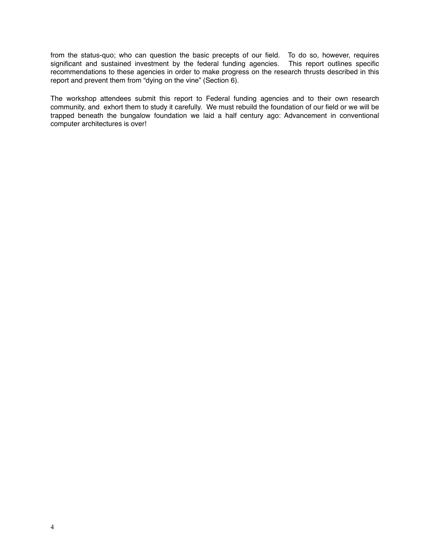from the status-quo; who can question the basic precepts of our field. To do so, however, requires significant and sustained investment by the federal funding agencies. This report outlines specific recommendations to these agencies in order to make progress on the research thrusts described in this report and prevent them from "dying on the vine" (Section 6).

The workshop attendees submit this report to Federal funding agencies and to their own research community, and exhort them to study it carefully. We must rebuild the foundation of our field or we will be trapped beneath the bungalow foundation we laid a half century ago: Advancement in conventional computer architectures is over!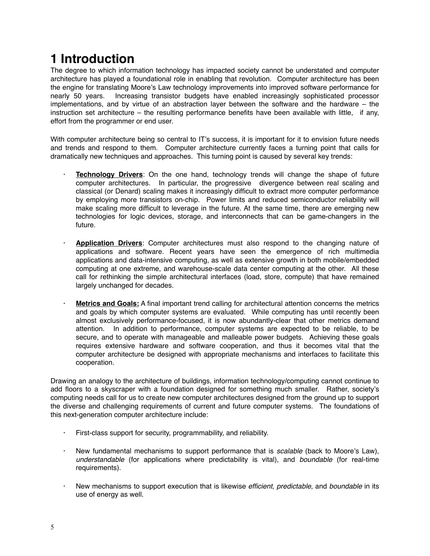## <span id="page-4-0"></span>**1 Introduction**

The degree to which information technology has impacted society cannot be understated and computer architecture has played a foundational role in enabling that revolution. Computer architecture has been the engine for translating Moore's Law technology improvements into improved software performance for nearly 50 years. Increasing transistor budgets have enabled increasingly sophisticated processor implementations, and by virtue of an abstraction layer between the software and the hardware – the instruction set architecture – the resulting performance benefits have been available with little, if any, effort from the programmer or end user.

With computer architecture being so central to IT's success, it is important for it to envision future needs and trends and respond to them. Computer architecture currently faces a turning point that calls for dramatically new techniques and approaches. This turning point is caused by several key trends:

- **Technology Drivers**: On the one hand, technology trends will change the shape of future computer architectures. In particular, the progressive divergence between real scaling and classical (or Denard) scaling makes it increasingly difficult to extract more computer performance by employing more transistors on-chip. Power limits and reduced semiconductor reliability will make scaling more difficult to leverage in the future. At the same time, there are emerging new technologies for logic devices, storage, and interconnects that can be game-changers in the future.
- · **Application Drivers**: Computer architectures must also respond to the changing nature of applications and software. Recent years have seen the emergence of rich multimedia applications and data-intensive computing, as well as extensive growth in both mobile/embedded computing at one extreme, and warehouse-scale data center computing at the other. All these call for rethinking the simple architectural interfaces (load, store, compute) that have remained largely unchanged for decades.
- · **Metrics and Goals:** A final important trend calling for architectural attention concerns the metrics and goals by which computer systems are evaluated. While computing has until recently been almost exclusively performance-focused, it is now abundantly-clear that other metrics demand attention. In addition to performance, computer systems are expected to be reliable, to be secure, and to operate with manageable and malleable power budgets. Achieving these goals requires extensive hardware and software cooperation, and thus it becomes vital that the computer architecture be designed with appropriate mechanisms and interfaces to facilitate this cooperation.

Drawing an analogy to the architecture of buildings, information technology/computing cannot continue to add floors to a skyscraper with a foundation designed for something much smaller. Rather, society's computing needs call for us to create new computer architectures designed from the ground up to support the diverse and challenging requirements of current and future computer systems. The foundations of this next-generation computer architecture include:

- First-class support for security, programmability, and reliability.
- · New fundamental mechanisms to support performance that is *scalable* (back to Moore's Law), *understandable* (for applications where predictability is vital), and *boundable* (for real-time requirements).
- · New mechanisms to support execution that is likewise *efficient, predictable*, and *boundable* in its use of energy as well.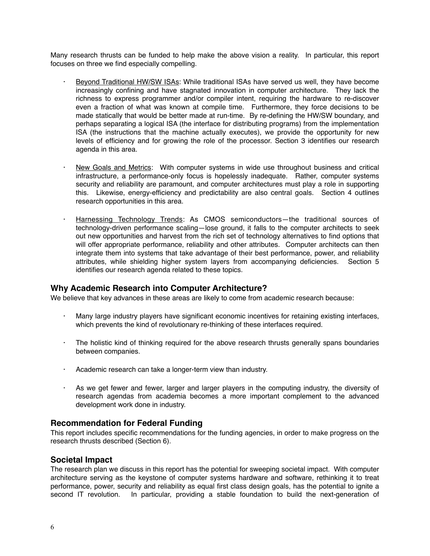Many research thrusts can be funded to help make the above vision a reality. In particular, this report focuses on three we find especially compelling.

- Beyond Traditional HW/SW ISAs: While traditional ISAs have served us well, they have become increasingly confining and have stagnated innovation in computer architecture. They lack the richness to express programmer and/or compiler intent, requiring the hardware to re-discover even a fraction of what was known at compile time. Furthermore, they force decisions to be made statically that would be better made at run-time. By re-defining the HW/SW boundary, and perhaps separating a logical ISA (the interface for distributing programs) from the implementation ISA (the instructions that the machine actually executes), we provide the opportunity for new levels of efficiency and for growing the role of the processor. Section 3 identifies our research agenda in this area.
- New Goals and Metrics: With computer systems in wide use throughout business and critical infrastructure, a performance-only focus is hopelessly inadequate. Rather, computer systems security and reliability are paramount, and computer architectures must play a role in supporting this. Likewise, energy-efficiency and predictability are also central goals. Section 4 outlines research opportunities in this area.
- Harnessing Technology Trends: As CMOS semiconductors—the traditional sources of technology-driven performance scaling—lose ground, it falls to the computer architects to seek out new opportunities and harvest from the rich set of technology alternatives to find options that will offer appropriate performance, reliability and other attributes. Computer architects can then integrate them into systems that take advantage of their best performance, power, and reliability attributes, while shielding higher system layers from accompanying deficiencies. Section 5 identifies our research agenda related to these topics.

#### <span id="page-5-0"></span>**Why Academic Research into Computer Architecture?**

We believe that key advances in these areas are likely to come from academic research because:

- Many large industry players have significant economic incentives for retaining existing interfaces, which prevents the kind of revolutionary re-thinking of these interfaces required.
- · The holistic kind of thinking required for the above research thrusts generally spans boundaries between companies.
- · Academic research can take a longer-term view than industry.
- · As we get fewer and fewer, larger and larger players in the computing industry, the diversity of research agendas from academia becomes a more important complement to the advanced development work done in industry.

#### <span id="page-5-1"></span>**Recommendation for Federal Funding**

This report includes specific recommendations for the funding agencies, in order to make progress on the research thrusts described (Section 6).

#### <span id="page-5-2"></span>**Societal Impact**

The research plan we discuss in this report has the potential for sweeping societal impact. With computer architecture serving as the keystone of computer systems hardware and software, rethinking it to treat performance, power, security and reliability as equal first class design goals, has the potential to ignite a second IT revolution. In particular, providing a stable foundation to build the next-generation of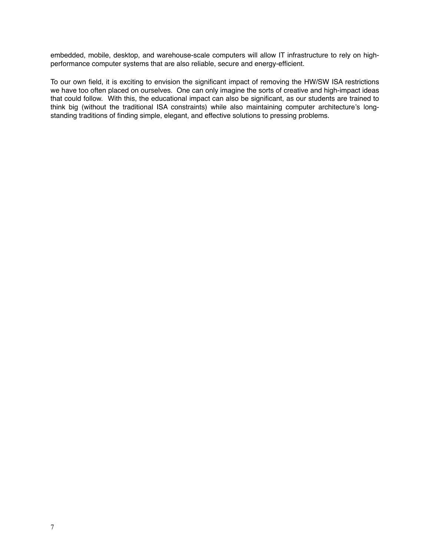embedded, mobile, desktop, and warehouse-scale computers will allow IT infrastructure to rely on highperformance computer systems that are also reliable, secure and energy-efficient.

To our own field, it is exciting to envision the significant impact of removing the HW/SW ISA restrictions we have too often placed on ourselves. One can only imagine the sorts of creative and high-impact ideas that could follow. With this, the educational impact can also be significant, as our students are trained to think big (without the traditional ISA constraints) while also maintaining computer architecture's longstanding traditions of finding simple, elegant, and effective solutions to pressing problems.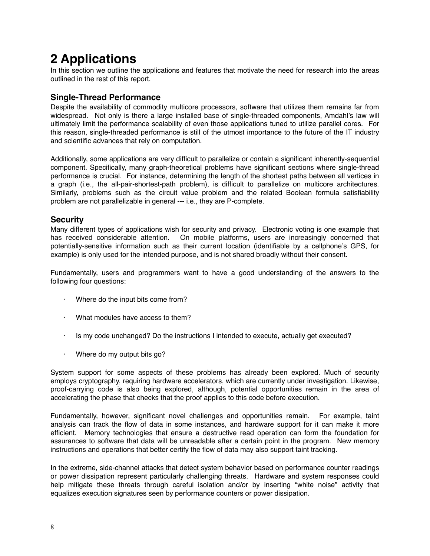## <span id="page-7-0"></span>**2 Applications**

In this section we outline the applications and features that motivate the need for research into the areas outlined in the rest of this report.

## <span id="page-7-1"></span>**Single-Thread Performance**

Despite the availability of commodity multicore processors, software that utilizes them remains far from widespread. Not only is there a large installed base of single-threaded components, Amdahl's law will ultimately limit the performance scalability of even those applications tuned to utilize parallel cores. For this reason, single-threaded performance is still of the utmost importance to the future of the IT industry and scientific advances that rely on computation.

Additionally, some applications are very difficult to parallelize or contain a significant inherently-sequential component. Specifically, many graph-theoretical problems have significant sections where single-thread performance is crucial. For instance, determining the length of the shortest paths between all vertices in a graph (i.e., the all-pair-shortest-path problem), is difficult to parallelize on multicore architectures. Similarly, problems such as the circuit value problem and the related Boolean formula satisfiability problem are not parallelizable in general --- i.e., they are P-complete.

## <span id="page-7-2"></span>**Security**

Many different types of applications wish for security and privacy. Electronic voting is one example that has received considerable attention. On mobile platforms, users are increasingly concerned that potentially-sensitive information such as their current location (identifiable by a cellphone's GPS, for example) is only used for the intended purpose, and is not shared broadly without their consent.

Fundamentally, users and programmers want to have a good understanding of the answers to the following four questions:

- Where do the input bits come from?
- What modules have access to them?
- Is my code unchanged? Do the instructions I intended to execute, actually get executed?
- · Where do my output bits go?

System support for some aspects of these problems has already been explored. Much of security employs cryptography, requiring hardware accelerators, which are currently under investigation. Likewise, proof-carrying code is also being explored, although, potential opportunities remain in the area of accelerating the phase that checks that the proof applies to this code before execution.

Fundamentally, however, significant novel challenges and opportunities remain. For example, taint analysis can track the flow of data in some instances, and hardware support for it can make it more efficient. Memory technologies that ensure a destructive read operation can form the foundation for assurances to software that data will be unreadable after a certain point in the program. New memory instructions and operations that better certify the flow of data may also support taint tracking.

In the extreme, side-channel attacks that detect system behavior based on performance counter readings or power dissipation represent particularly challenging threats. Hardware and system responses could help mitigate these threats through careful isolation and/or by inserting "white noise" activity that equalizes execution signatures seen by performance counters or power dissipation.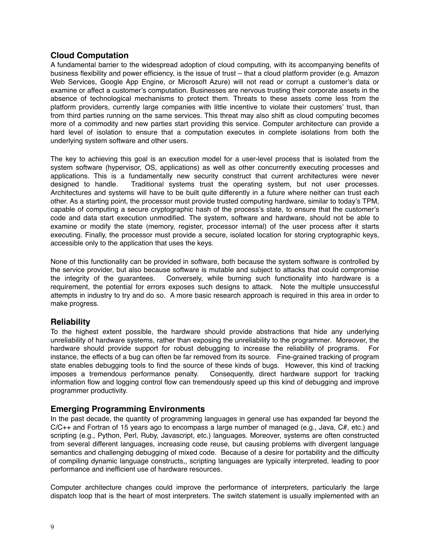#### <span id="page-8-0"></span>**Cloud Computation**

A fundamental barrier to the widespread adoption of cloud computing, with its accompanying benefits of business flexibility and power efficiency, is the issue of trust – that a cloud platform provider (e.g. Amazon Web Services, Google App Engine, or Microsoft Azure) will not read or corrupt a customer's data or examine or affect a customer's computation. Businesses are nervous trusting their corporate assets in the absence of technological mechanisms to protect them. Threats to these assets come less from the platform providers, currently large companies with little incentive to violate their customers' trust, than from third parties running on the same services. This threat may also shift as cloud computing becomes more of a commodity and new parties start providing this service. Computer architecture can provide a hard level of isolation to ensure that a computation executes in complete isolations from both the underlying system software and other users.

The key to achieving this goal is an execution model for a user-level process that is isolated from the system software (hypervisor, OS, applications) as well as other concurrently executing processes and applications. This is a fundamentally new security construct that current architectures were never designed to handle. Traditional systems trust the operating system, but not user processes. Architectures and systems will have to be built quite differently in a future where neither can trust each other. As a starting point, the processor must provide trusted computing hardware, similar to today's TPM, capable of computing a secure cryptographic hash of the process's state, to ensure that the customer's code and data start execution unmodified. The system, software and hardware, should not be able to examine or modify the state (memory, register, processor internal) of the user process after it starts executing. Finally, the processor must provide a secure, isolated location for storing cryptographic keys, accessible only to the application that uses the keys.

None of this functionality can be provided in software, both because the system software is controlled by the service provider, but also because software is mutable and subject to attacks that could compromise the integrity of the guarantees. Conversely, while burning such functionality into hardware is a requirement, the potential for errors exposes such designs to attack. Note the multiple unsuccessful attempts in industry to try and do so. A more basic research approach is required in this area in order to make progress.

#### <span id="page-8-1"></span>**Reliability**

To the highest extent possible, the hardware should provide abstractions that hide any underlying unreliability of hardware systems, rather than exposing the unreliability to the programmer. Moreover, the hardware should provide support for robust debugging to increase the reliability of programs. For instance, the effects of a bug can often be far removed from its source. Fine-grained tracking of program state enables debugging tools to find the source of these kinds of bugs. However, this kind of tracking imposes a tremendous performance penalty. Consequently, direct hardware support for tracking information flow and logging control flow can tremendously speed up this kind of debugging and improve programmer productivity.

#### <span id="page-8-2"></span>**Emerging Programming Environments**

In the past decade, the quantity of programming languages in general use has expanded far beyond the C/C++ and Fortran of 15 years ago to encompass a large number of managed (e.g., Java, C#, etc.) and scripting (e.g., Python, Perl, Ruby, Javascript, etc.) languages. Moreover, systems are often constructed from several different languages, increasing code reuse, but causing problems with divergent language semantics and challenging debugging of mixed code. Because of a desire for portability and the difficulty of compiling dynamic language constructs,, scripting languages are typically interpreted, leading to poor performance and inefficient use of hardware resources.

Computer architecture changes could improve the performance of interpreters, particularly the large dispatch loop that is the heart of most interpreters. The switch statement is usually implemented with an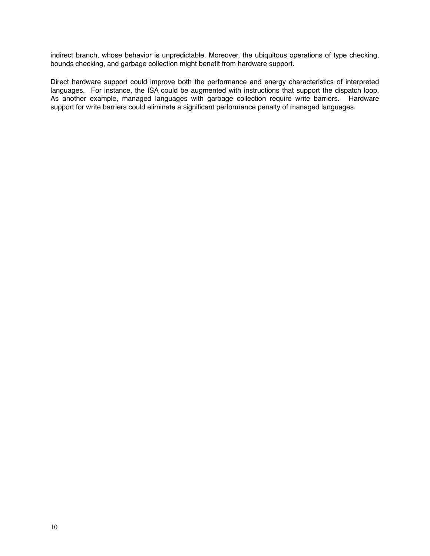indirect branch, whose behavior is unpredictable. Moreover, the ubiquitous operations of type checking, bounds checking, and garbage collection might benefit from hardware support.

Direct hardware support could improve both the performance and energy characteristics of interpreted languages. For instance, the ISA could be augmented with instructions that support the dispatch loop. As another example, managed languages with garbage collection require write barriers. Hardware support for write barriers could eliminate a significant performance penalty of managed languages.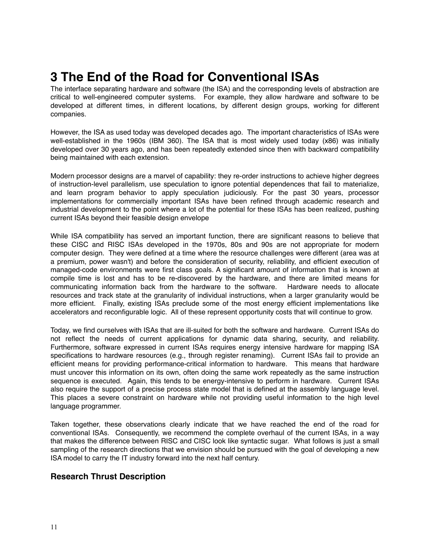## <span id="page-10-0"></span>**3 The End of the Road for Conventional ISAs**

The interface separating hardware and software (the ISA) and the corresponding levels of abstraction are critical to well-engineered computer systems. For example, they allow hardware and software to be developed at different times, in different locations, by different design groups, working for different companies.

However, the ISA as used today was developed decades ago. The important characteristics of ISAs were well-established in the 1960s (IBM 360). The ISA that is most widely used today (x86) was initially developed over 30 years ago, and has been repeatedly extended since then with backward compatibility being maintained with each extension.

Modern processor designs are a marvel of capability: they re-order instructions to achieve higher degrees of instruction-level parallelism, use speculation to ignore potential dependences that fail to materialize, and learn program behavior to apply speculation judiciously. For the past 30 years, processor implementations for commercially important ISAs have been refined through academic research and industrial development to the point where a lot of the potential for these ISAs has been realized, pushing current ISAs beyond their feasible design envelope

While ISA compatibility has served an important function, there are significant reasons to believe that these CISC and RISC ISAs developed in the 1970s, 80s and 90s are not appropriate for modern computer design. They were defined at a time where the resource challenges were different (area was at a premium, power wasn't) and before the consideration of security, reliability, and efficient execution of managed-code environments were first class goals. A significant amount of information that is known at compile time is lost and has to be re-discovered by the hardware, and there are limited means for communicating information back from the hardware to the software. Hardware needs to allocate resources and track state at the granularity of individual instructions, when a larger granularity would be more efficient. Finally, existing ISAs preclude some of the most energy efficient implementations like accelerators and reconfigurable logic. All of these represent opportunity costs that will continue to grow.

Today, we find ourselves with ISAs that are ill-suited for both the software and hardware. Current ISAs do not reflect the needs of current applications for dynamic data sharing, security, and reliability. Furthermore, software expressed in current ISAs requires energy intensive hardware for mapping ISA specifications to hardware resources (e.g., through register renaming). Current ISAs fail to provide an efficient means for providing performance-critical information to hardware. This means that hardware must uncover this information on its own, often doing the same work repeatedly as the same instruction sequence is executed. Again, this tends to be energy-intensive to perform in hardware. Current ISAs also require the support of a precise process state model that is defined at the assembly language level. This places a severe constraint on hardware while not providing useful information to the high level language programmer.

Taken together, these observations clearly indicate that we have reached the end of the road for conventional ISAs. Consequently, we recommend the complete overhaul of the current ISAs, in a way that makes the difference between RISC and CISC look like syntactic sugar. What follows is just a small sampling of the research directions that we envision should be pursued with the goal of developing a new ISA model to carry the IT industry forward into the next half century.

#### <span id="page-10-1"></span>**Research Thrust Description**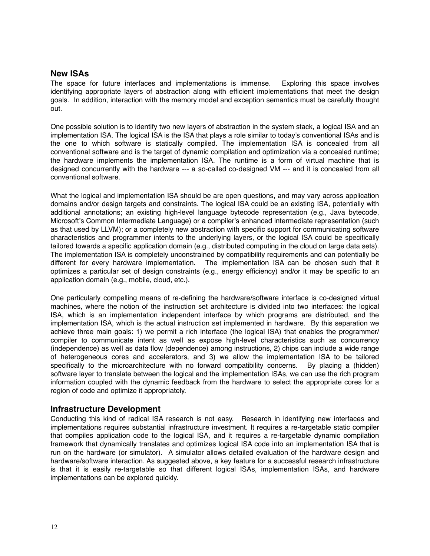#### **New ISAs**

The space for future interfaces and implementations is immense. Exploring this space involves identifying appropriate layers of abstraction along with efficient implementations that meet the design goals. In addition, interaction with the memory model and exception semantics must be carefully thought out.

One possible solution is to identify two new layers of abstraction in the system stack, a logical ISA and an implementation ISA. The logical ISA is the ISA that plays a role similar to today's conventional ISAs and is the one to which software is statically compiled. The implementation ISA is concealed from all conventional software and is the target of dynamic compilation and optimization via a concealed runtime; the hardware implements the implementation ISA. The runtime is a form of virtual machine that is designed concurrently with the hardware --- a so-called co-designed VM --- and it is concealed from all conventional software.

What the logical and implementation ISA should be are open questions, and may vary across application domains and/or design targets and constraints. The logical ISA could be an existing ISA, potentially with additional annotations; an existing high-level language bytecode representation (e.g., Java bytecode, Microsoft's Common Intermediate Language) or a compiler's enhanced intermediate representation (such as that used by LLVM); or a completely new abstraction with specific support for communicating software characteristics and programmer intents to the underlying layers, or the logical ISA could be specifically tailored towards a specific application domain (e.g., distributed computing in the cloud on large data sets). The implementation ISA is completely unconstrained by compatibility requirements and can potentially be different for every hardware implementation. The implementation ISA can be chosen such that it optimizes a particular set of design constraints (e.g., energy efficiency) and/or it may be specific to an application domain (e.g., mobile, cloud, etc.).

One particularly compelling means of re-defining the hardware/software interface is co-designed virtual machines, where the notion of the instruction set architecture is divided into two interfaces: the logical ISA, which is an implementation independent interface by which programs are distributed, and the implementation ISA, which is the actual instruction set implemented in hardware. By this separation we achieve three main goals: 1) we permit a rich interface (the logical ISA) that enables the programmer/ compiler to communicate intent as well as expose high-level characteristics such as concurrency (independence) as well as data flow (dependence) among instructions, 2) chips can include a wide range of heterogeneous cores and accelerators, and 3) we allow the implementation ISA to be tailored specifically to the microarchitecture with no forward compatibility concerns. By placing a (hidden) software layer to translate between the logical and the implementation ISAs, we can use the rich program information coupled with the dynamic feedback from the hardware to select the appropriate cores for a region of code and optimize it appropriately.

#### **Infrastructure Development**

Conducting this kind of radical ISA research is not easy. Research in identifying new interfaces and implementations requires substantial infrastructure investment. It requires a re-targetable static compiler that compiles application code to the logical ISA, and it requires a re-targetable dynamic compilation framework that dynamically translates and optimizes logical ISA code into an implementation ISA that is run on the hardware (or simulator). A simulator allows detailed evaluation of the hardware design and hardware/software interaction. As suggested above, a key feature for a successful research infrastructure is that it is easily re-targetable so that different logical ISAs, implementation ISAs, and hardware implementations can be explored quickly.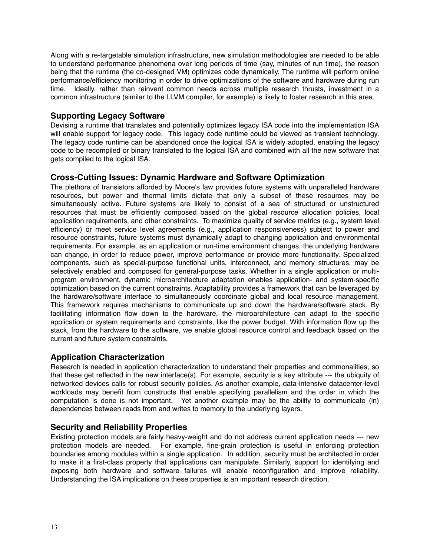Along with a re-targetable simulation infrastructure, new simulation methodologies are needed to be able to understand performance phenomena over long periods of time (say, minutes of run time), the reason being that the runtime (the co-designed VM) optimizes code dynamically. The runtime will perform online performance/efficiency monitoring in order to drive optimizations of the software and hardware during run time. Ideally, rather than reinvent common needs across multiple research thrusts, investment in a common infrastructure (similar to the LLVM compiler, for example) is likely to foster research in this area.

## **Supporting Legacy Software**

Devising a runtime that translates and potentially optimizes legacy ISA code into the implementation ISA will enable support for legacy code. This legacy code runtime could be viewed as transient technology. The legacy code runtime can be abandoned once the logical ISA is widely adopted, enabling the legacy code to be recompiled or binary translated to the logical ISA and combined with all the new software that gets compiled to the logical ISA.

## **Cross-Cutting Issues: Dynamic Hardware and Software Optimization**

The plethora of transistors afforded by Moore's law provides future systems with unparalleled hardware resources, but power and thermal limits dictate that only a subset of these resources may be simultaneously active. Future systems are likely to consist of a sea of structured or unstructured resources that must be efficiently composed based on the global resource allocation policies, local application requirements, and other constraints. To maximize quality of service metrics (e.g., system level efficiency) or meet service level agreements (e.g., application responsiveness) subject to power and resource constraints, future systems must dynamically adapt to changing application and environmental requirements. For example, as an application or run-time environment changes, the underlying hardware can change, in order to reduce power, improve performance or provide more functionality. Specialized components, such as special-purpose functional units, interconnect, and memory structures, may be selectively enabled and composed for general-purpose tasks. Whether in a single application or multiprogram environment, dynamic microarchitecture adaptation enables application- and system-specific optimization based on the current constraints. Adaptability provides a framework that can be leveraged by the hardware/software interface to simultaneously coordinate global and local resource management. This framework requires mechanisms to communicate up and down the hardware/software stack. By facilitating information flow down to the hardware, the microarchitecture can adapt to the specific application or system requirements and constraints, like the power budget. With information flow up the stack, from the hardware to the software, we enable global resource control and feedback based on the current and future system constraints.

## **Application Characterization**

Research is needed in application characterization to understand their properties and commonalities, so that these get reflected in the new interface(s). For example, security is a key attribute --- the ubiquity of networked devices calls for robust security policies. As another example, data-intensive datacenter-level workloads may benefit from constructs that enable specifying parallelism and the order in which the computation is done is not important. Yet another example may be the ability to communicate (in) dependences between reads from and writes to memory to the underlying layers.

## **Security and Reliability Properties**

Existing protection models are fairly heavy-weight and do not address current application needs --- new protection models are needed. For example, fine-grain protection is useful in enforcing protection boundaries among modules within a single application. In addition, security must be architected in order to make it a first-class property that applications can manipulate. Similarly, support for identifying and exposing both hardware and software failures will enable reconfiguration and improve reliability. Understanding the ISA implications on these properties is an important research direction.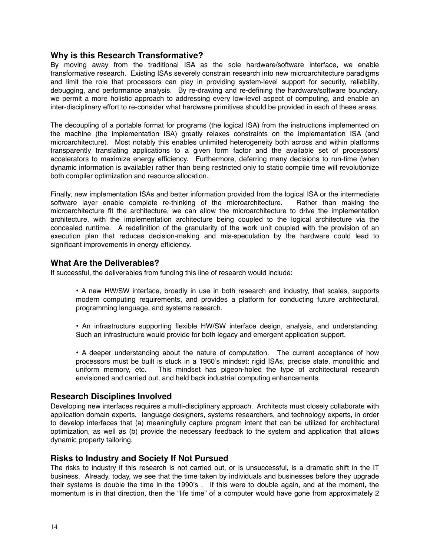#### <span id="page-13-0"></span>**Why is this Research Transformative?**

By moving away from the traditional ISA as the sole hardware/software interface, we enable transformative research. Existing ISAs severely constrain research into new microarchitecture paradigms and limit the role that processors can play in providing system-level support for security, reliability, debugging, and performance analysis. By re-drawing and re-defining the hardware/software boundary, we permit a more holistic approach to addressing every low-level aspect of computing, and enable an inter-disciplinary effort to re-consider what hardware primitives should be provided in each of these areas.

The decoupling of a portable format for programs (the logical ISA) from the instructions implemented on the machine (the implementation ISA) greatly relaxes constraints on the implementation ISA (and microarchitecture). Most notably this enables unlimited heterogeneity both across and within platforms transparently translating applications to a given form factor and the available set of processors/ accelerators to maximize energy efficiency. Furthermore, deferring many decisions to run-time (when dynamic information is available) rather than being restricted only to static compile time will revolutionize both compiler optimization and resource allocation.

Finally, new implementation ISAs and better information provided from the logical ISA or the intermediate software layer enable complete re-thinking of the microarchitecture. Rather than making the microarchitecture fit the architecture, we can allow the microarchitecture to drive the implementation architecture, with the implementation architecture being coupled to the logical architecture via the concealed runtime. A redefinition of the granularity of the work unit coupled with the provision of an execution plan that reduces decision-making and mis-speculation by the hardware could lead to significant improvements in energy efficiency.

#### <span id="page-13-1"></span>**What Are the Deliverables?**

If successful, the deliverables from funding this line of research would include:

- A new HW/SW interface, broadly in use in both research and industry, that scales, supports modern computing requirements, and provides a platform for conducting future architectural, programming language, and systems research.
- An infrastructure supporting flexible HW/SW interface design, analysis, and understanding. Such an infrastructure would provide for both legacy and emergent application support.

• A deeper understanding about the nature of computation. The current acceptance of how processors must be built is stuck in a 1960's mindset: rigid ISAs, precise state, monolithic and uniform memory, etc. This mindset has pigeon-holed the type of architectural research envisioned and carried out, and held back industrial computing enhancements.

#### <span id="page-13-2"></span>**Research Disciplines Involved**

Developing new interfaces requires a multi-disciplinary approach. Architects must closely collaborate with application domain experts, language designers, systems researchers, and technology experts, in order to develop interfaces that (a) meaningfully capture program intent that can be utilized for architectural optimization, as well as (b) provide the necessary feedback to the system and application that allows dynamic property tailoring.

#### <span id="page-13-3"></span>**Risks to Industry and Society If Not Pursued**

The risks to industry if this research is not carried out, or is unsuccessful, is a dramatic shift in the IT business. Already, today, we see that the time taken by individuals and businesses before they upgrade their systems is double the time in the 1990's . If this were to double again, and at the moment, the momentum is in that direction, then the "life time" of a computer would have gone from approximately 2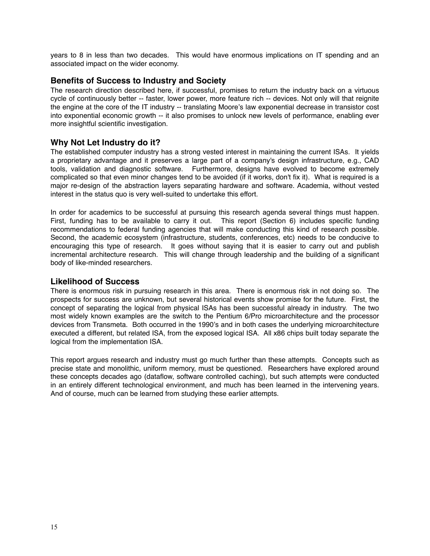years to 8 in less than two decades. This would have enormous implications on IT spending and an associated impact on the wider economy.

#### <span id="page-14-0"></span>**Benefits of Success to Industry and Society**

The research direction described here, if successful, promises to return the industry back on a virtuous cycle of continuously better -- faster, lower power, more feature rich -- devices. Not only will that reignite the engine at the core of the IT industry -- translating Moore's law exponential decrease in transistor cost into exponential economic growth -- it also promises to unlock new levels of performance, enabling ever more insightful scientific investigation.

## <span id="page-14-1"></span>**Why Not Let Industry do it?**

The established computer industry has a strong vested interest in maintaining the current ISAs. It yields a proprietary advantage and it preserves a large part of a company's design infrastructure, e.g., CAD tools, validation and diagnostic software. Furthermore, designs have evolved to become extremely complicated so that even minor changes tend to be avoided (if it works, don't fix it). What is required is a major re-design of the abstraction layers separating hardware and software. Academia, without vested interest in the status quo is very well-suited to undertake this effort.

In order for academics to be successful at pursuing this research agenda several things must happen. First, funding has to be available to carry it out. This report (Section 6) includes specific funding recommendations to federal funding agencies that will make conducting this kind of research possible. Second, the academic ecosystem (infrastructure, students, conferences, etc) needs to be conducive to encouraging this type of research. It goes without saying that it is easier to carry out and publish incremental architecture research. This will change through leadership and the building of a significant body of like-minded researchers.

#### <span id="page-14-2"></span>**Likelihood of Success**

There is enormous risk in pursuing research in this area. There is enormous risk in not doing so. The prospects for success are unknown, but several historical events show promise for the future. First, the concept of separating the logical from physical ISAs has been successful already in industry. The two most widely known examples are the switch to the Pentium 6/Pro microarchitecture and the processor devices from Transmeta. Both occurred in the 1990's and in both cases the underlying microarchitecture executed a different, but related ISA, from the exposed logical ISA. All x86 chips built today separate the logical from the implementation ISA.

This report argues research and industry must go much further than these attempts. Concepts such as precise state and monolithic, uniform memory, must be questioned. Researchers have explored around these concepts decades ago (dataflow, software controlled caching), but such attempts were conducted in an entirely different technological environment, and much has been learned in the intervening years. And of course, much can be learned from studying these earlier attempts.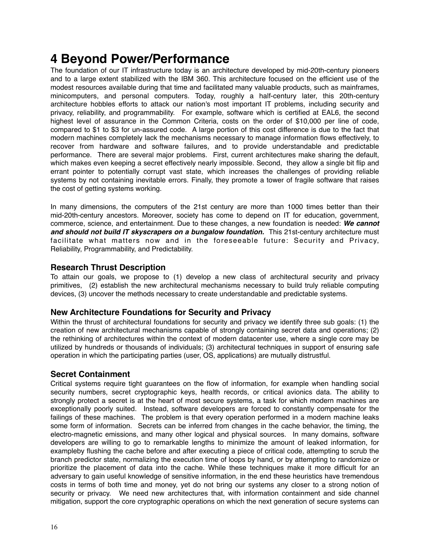## <span id="page-15-0"></span>**4 Beyond Power/Performance**

The foundation of our IT infrastructure today is an architecture developed by mid-20th-century pioneers and to a large extent stabilized with the IBM 360. This architecture focused on the efficient use of the modest resources available during that time and facilitated many valuable products, such as mainframes, minicomputers, and personal computers. Today, roughly a half-century later, this 20th-century architecture hobbles efforts to attack our nation's most important IT problems, including security and privacy, reliability, and programmability. For example, software which is certified at EAL6, the second highest level of assurance in the Common Criteria, costs on the order of \$10,000 per line of code, compared to \$1 to \$3 for un-assured code. A large portion of this cost difference is due to the fact that modern machines completely lack the mechanisms necessary to manage information flows effectively, to recover from hardware and software failures, and to provide understandable and predictable performance. There are several major problems. First, current architectures make sharing the default, which makes even keeping a secret effectively nearly impossible. Second, they allow a single bit flip and errant pointer to potentially corrupt vast state, which increases the challenges of providing reliable systems by not containing inevitable errors. Finally, they promote a tower of fragile software that raises the cost of getting systems working.

In many dimensions, the computers of the 21st century are more than 1000 times better than their mid-20th-century ancestors. Moreover, society has come to depend on IT for education, government, commerce, science, and entertainment. Due to these changes, a new foundation is needed: *We cannot*  and should not build IT skyscrapers on a bungalow foundation. This 21st-century architecture must facilitate what matters now and in the foreseeable future: Security and Privacy, Reliability, Programmability, and Predictability.

## <span id="page-15-1"></span>**Research Thrust Description**

To attain our goals, we propose to (1) develop a new class of architectural security and privacy primitives, (2) establish the new architectural mechanisms necessary to build truly reliable computing devices, (3) uncover the methods necessary to create understandable and predictable systems.

#### **New Architecture Foundations for Security and Privacy**

Within the thrust of architectural foundations for security and privacy we identify three sub goals: (1) the creation of new architectural mechanisms capable of strongly containing secret data and operations; (2) the rethinking of architectures within the context of modern datacenter use, where a single core may be utilized by hundreds or thousands of individuals; (3) architectural techniques in support of ensuring safe operation in which the participating parties (user, OS, applications) are mutually distrustful.

## **Secret Containment**

Critical systems require tight guarantees on the flow of information, for example when handling social security numbers, secret cryptographic keys, health records, or critical avionics data. The ability to strongly protect a secret is at the heart of most secure systems, a task for which modern machines are exceptionally poorly suited. Instead, software developers are forced to constantly compensate for the failings of these machines. The problem is that every operation performed in a modern machine leaks some form of information. Secrets can be inferred from changes in the cache behavior, the timing, the electro-magnetic emissions, and many other logical and physical sources. In many domains, software developers are willing to go to remarkable lengths to minimize the amount of leaked information, for exampleby flushing the cache before and after executing a piece of critical code, attempting to scrub the branch predictor state, normalizing the execution time of loops by hand, or by attempting to randomize or prioritize the placement of data into the cache. While these techniques make it more difficult for an adversary to gain useful knowledge of sensitive information, in the end these heuristics have tremendous costs in terms of both time and money, yet do not bring our systems any closer to a strong notion of security or privacy. We need new architectures that, with information containment and side channel mitigation, support the core cryptographic operations on which the next generation of secure systems can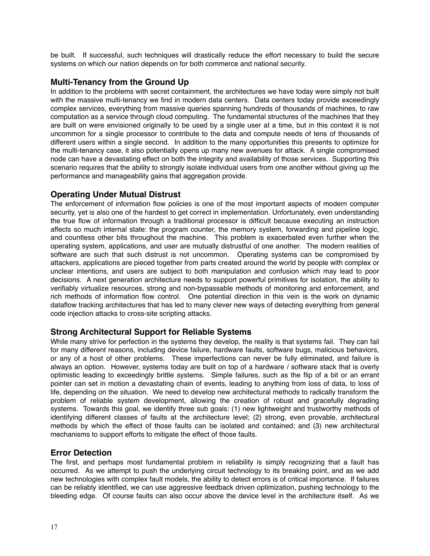be built. If successful, such techniques will drastically reduce the effort necessary to build the secure systems on which our nation depends on for both commerce and national security.

## **Multi-Tenancy from the Ground Up**

In addition to the problems with secret containment, the architectures we have today were simply not built with the massive multi-tenancy we find in modern data centers. Data centers today provide exceedingly complex services, everything from massive queries spanning hundreds of thousands of machines, to raw computation as a service through cloud computing. The fundamental structures of the machines that they are built on were envisioned originally to be used by a single user at a time, but in this context it is not uncommon for a single processor to contribute to the data and compute needs of tens of thousands of different users within a single second. In addition to the many opportunities this presents to optimize for the multi-tenancy case, it also potentially opens up many new avenues for attack. A single compromised node can have a devastating effect on both the integrity and availability of those services. Supporting this scenario requires that the ability to strongly isolate individual users from one another without giving up the performance and manageability gains that aggregation provide.

## **Operating Under Mutual Distrust**

The enforcement of information flow policies is one of the most important aspects of modern computer security, yet is also one of the hardest to get correct in implementation. Unfortunately, even understanding the true flow of information through a traditional processor is difficult because executing an instruction affects so much internal state: the program counter, the memory system, forwarding and pipeline logic, and countless other bits throughout the machine. This problem is exacerbated even further when the operating system, applications, and user are mutually distrustful of one another. The modern realities of software are such that such distrust is not uncommon. Operating systems can be compromised by attackers, applications are pieced together from parts created around the world by people with complex or unclear intentions, and users are subject to both manipulation and confusion which may lead to poor decisions. A next generation architecture needs to support powerful primitives for isolation, the ability to verifiably virtualize resources, strong and non-bypassable methods of monitoring and enforcement, and rich methods of information flow control. One potential direction in this vein is the work on dynamic dataflow tracking architectures that has led to many clever new ways of detecting everything from general code injection attacks to cross-site scripting attacks.

## **Strong Architectural Support for Reliable Systems**

While many strive for perfection in the systems they develop, the reality is that systems fail. They can fail for many different reasons, including device failure, hardware faults, software bugs, malicious behaviors, or any of a host of other problems. These imperfections can never be fully eliminated, and failure is always an option. However, systems today are built on top of a hardware / software stack that is overly optimistic leading to exceedingly brittle systems. Simple failures, such as the flip of a bit or an errant pointer can set in motion a devastating chain of events, leading to anything from loss of data, to loss of life, depending on the situation. We need to develop new architectural methods to radically transform the problem of reliable system development, allowing the creation of robust and gracefully degrading systems. Towards this goal, we identify three sub goals: (1) new lightweight and trustworthy methods of identifying different classes of faults at the architecture level; (2) strong, even provable, architectural methods by which the effect of those faults can be isolated and contained; and (3) new architectural mechanisms to support efforts to mitigate the effect of those faults.

#### **Error Detection**

The first, and perhaps most fundamental problem in reliability is simply recognizing that a fault has occurred. As we attempt to push the underlying circuit technology to its breaking point, and as we add new technologies with complex fault models, the ability to detect errors is of critical importance. If failures can be reliably identified, we can use aggressive feedback driven optimization, pushing technology to the bleeding edge. Of course faults can also occur above the device level in the architecture itself. As we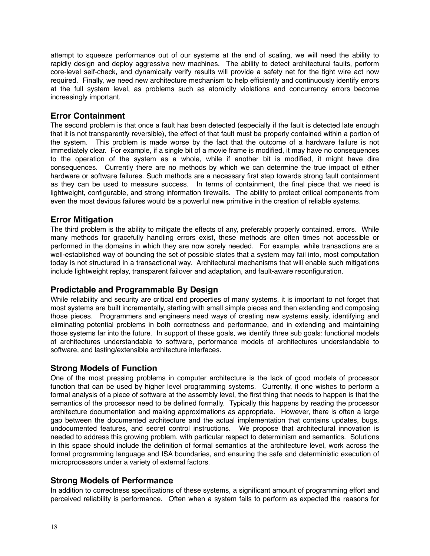attempt to squeeze performance out of our systems at the end of scaling, we will need the ability to rapidly design and deploy aggressive new machines. The ability to detect architectural faults, perform core-level self-check, and dynamically verify results will provide a safety net for the tight wire act now required. Finally, we need new architecture mechanism to help efficiently and continuously identify errors at the full system level, as problems such as atomicity violations and concurrency errors become increasingly important.

## **Error Containment**

The second problem is that once a fault has been detected (especially if the fault is detected late enough that it is not transparently reversible), the effect of that fault must be properly contained within a portion of the system. This problem is made worse by the fact that the outcome of a hardware failure is not immediately clear. For example, if a single bit of a movie frame is modified, it may have no consequences to the operation of the system as a whole, while if another bit is modified, it might have dire consequences. Currently there are no methods by which we can determine the true impact of either hardware or software failures. Such methods are a necessary first step towards strong fault containment as they can be used to measure success. In terms of containment, the final piece that we need is lightweight, configurable, and strong information firewalls. The ability to protect critical components from even the most devious failures would be a powerful new primitive in the creation of reliable systems.

## **Error Mitigation**

The third problem is the ability to mitigate the effects of any, preferably properly contained, errors. While many methods for gracefully handling errors exist, these methods are often times not accessible or performed in the domains in which they are now sorely needed. For example, while transactions are a well-established way of bounding the set of possible states that a system may fail into, most computation today is not structured in a transactional way. Architectural mechanisms that will enable such mitigations include lightweight replay, transparent failover and adaptation, and fault-aware reconfiguration.

## **Predictable and Programmable By Design**

While reliability and security are critical end properties of many systems, it is important to not forget that most systems are built incrementally, starting with small simple pieces and then extending and composing those pieces. Programmers and engineers need ways of creating new systems easily, identifying and eliminating potential problems in both correctness and performance, and in extending and maintaining those systems far into the future. In support of these goals, we identify three sub goals: functional models of architectures understandable to software, performance models of architectures understandable to software, and lasting/extensible architecture interfaces.

## **Strong Models of Function**

One of the most pressing problems in computer architecture is the lack of good models of processor function that can be used by higher level programming systems. Currently, if one wishes to perform a formal analysis of a piece of software at the assembly level, the first thing that needs to happen is that the semantics of the processor need to be defined formally. Typically this happens by reading the processor architecture documentation and making approximations as appropriate. However, there is often a large gap between the documented architecture and the actual implementation that contains updates, bugs, undocumented features, and secret control instructions. We propose that architectural innovation is needed to address this growing problem, with particular respect to determinism and semantics. Solutions in this space should include the definition of formal semantics at the architecture level, work across the formal programming language and ISA boundaries, and ensuring the safe and deterministic execution of microprocessors under a variety of external factors.

## **Strong Models of Performance**

In addition to correctness specifications of these systems, a significant amount of programming effort and perceived reliability is performance. Often when a system fails to perform as expected the reasons for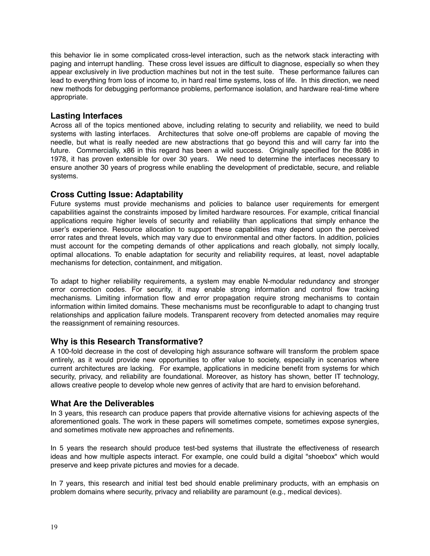this behavior lie in some complicated cross-level interaction, such as the network stack interacting with paging and interrupt handling. These cross level issues are difficult to diagnose, especially so when they appear exclusively in live production machines but not in the test suite. These performance failures can lead to everything from loss of income to, in hard real time systems, loss of life. In this direction, we need new methods for debugging performance problems, performance isolation, and hardware real-time where appropriate.

## **Lasting Interfaces**

Across all of the topics mentioned above, including relating to security and reliability, we need to build systems with lasting interfaces. Architectures that solve one-off problems are capable of moving the needle, but what is really needed are new abstractions that go beyond this and will carry far into the future. Commercially, x86 in this regard has been a wild success. Originally specified for the 8086 in 1978, it has proven extensible for over 30 years. We need to determine the interfaces necessary to ensure another 30 years of progress while enabling the development of predictable, secure, and reliable systems.

## **Cross Cutting Issue: Adaptability**

Future systems must provide mechanisms and policies to balance user requirements for emergent capabilities against the constraints imposed by limited hardware resources. For example, critical financial applications require higher levels of security and reliability than applications that simply enhance the user's experience. Resource allocation to support these capabilities may depend upon the perceived error rates and threat levels, which may vary due to environmental and other factors. In addition, policies must account for the competing demands of other applications and reach globally, not simply locally, optimal allocations. To enable adaptation for security and reliability requires, at least, novel adaptable mechanisms for detection, containment, and mitigation.

To adapt to higher reliability requirements, a system may enable N-modular redundancy and stronger error correction codes. For security, it may enable strong information and control flow tracking mechanisms. Limiting information flow and error propagation require strong mechanisms to contain information within limited domains. These mechanisms must be reconfigurable to adapt to changing trust relationships and application failure models. Transparent recovery from detected anomalies may require the reassignment of remaining resources.

## <span id="page-18-0"></span>**Why is this Research Transformative?**

A 100-fold decrease in the cost of developing high assurance software will transform the problem space entirely, as it would provide new opportunities to offer value to society, especially in scenarios where current architectures are lacking. For example, applications in medicine benefit from systems for which security, privacy, and reliability are foundational. Moreover, as history has shown, better IT technology, allows creative people to develop whole new genres of activity that are hard to envision beforehand.

#### <span id="page-18-1"></span>**What Are the Deliverables**

In 3 years, this research can produce papers that provide alternative visions for achieving aspects of the aforementioned goals. The work in these papers will sometimes compete, sometimes expose synergies, and sometimes motivate new approaches and refinements.

In 5 years the research should produce test-bed systems that illustrate the effectiveness of research ideas and how multiple aspects interact. For example, one could build a digital "shoebox" which would preserve and keep private pictures and movies for a decade.

In 7 years, this research and initial test bed should enable preliminary products, with an emphasis on problem domains where security, privacy and reliability are paramount (e.g., medical devices).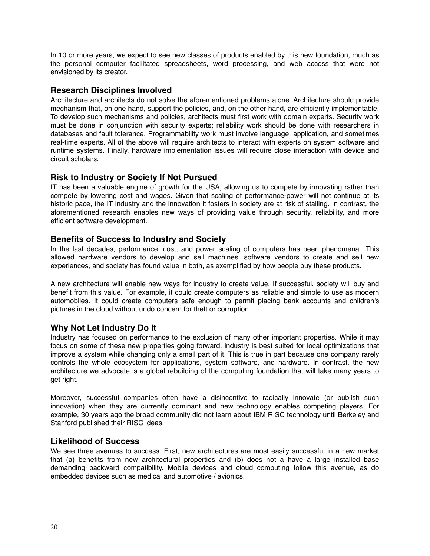In 10 or more years, we expect to see new classes of products enabled by this new foundation, much as the personal computer facilitated spreadsheets, word processing, and web access that were not envisioned by its creator.

## <span id="page-19-0"></span>**Research Disciplines Involved**

Architecture and architects do not solve the aforementioned problems alone. Architecture should provide mechanism that, on one hand, support the policies, and, on the other hand, are efficiently implementable. To develop such mechanisms and policies, architects must first work with domain experts. Security work must be done in conjunction with security experts; reliability work should be done with researchers in databases and fault tolerance. Programmability work must involve language, application, and sometimes real-time experts. All of the above will require architects to interact with experts on system software and runtime systems. Finally, hardware implementation issues will require close interaction with device and circuit scholars.

## <span id="page-19-1"></span>**Risk to Industry or Society If Not Pursued**

IT has been a valuable engine of growth for the USA, allowing us to compete by innovating rather than compete by lowering cost and wages. Given that scaling of performance-power will not continue at its historic pace, the IT industry and the innovation it fosters in society are at risk of stalling. In contrast, the aforementioned research enables new ways of providing value through security, reliability, and more efficient software development.

## <span id="page-19-2"></span>**Benefits of Success to Industry and Society**

In the last decades, performance, cost, and power scaling of computers has been phenomenal. This allowed hardware vendors to develop and sell machines, software vendors to create and sell new experiences, and society has found value in both, as exemplified by how people buy these products.

A new architecture will enable new ways for industry to create value. If successful, society will buy and benefit from this value. For example, it could create computers as reliable and simple to use as modern automobiles. It could create computers safe enough to permit placing bank accounts and children's pictures in the cloud without undo concern for theft or corruption.

## <span id="page-19-3"></span>**Why Not Let Industry Do It**

Industry has focused on performance to the exclusion of many other important properties. While it may focus on some of these new properties going forward, industry is best suited for local optimizations that improve a system while changing only a small part of it. This is true in part because one company rarely controls the whole ecosystem for applications, system software, and hardware. In contrast, the new architecture we advocate is a global rebuilding of the computing foundation that will take many years to get right.

Moreover, successful companies often have a disincentive to radically innovate (or publish such innovation) when they are currently dominant and new technology enables competing players. For example, 30 years ago the broad community did not learn about IBM RISC technology until Berkeley and Stanford published their RISC ideas.

#### <span id="page-19-4"></span>**Likelihood of Success**

We see three avenues to success. First, new architectures are most easily successful in a new market that (a) benefits from new architectural properties and (b) does not a have a large installed base demanding backward compatibility. Mobile devices and cloud computing follow this avenue, as do embedded devices such as medical and automotive / avionics.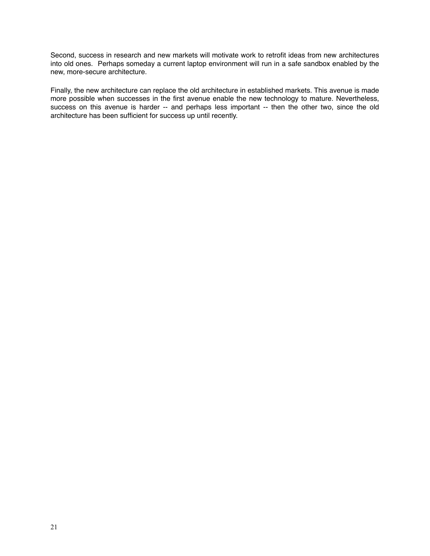Second, success in research and new markets will motivate work to retrofit ideas from new architectures into old ones. Perhaps someday a current laptop environment will run in a safe sandbox enabled by the new, more-secure architecture.

Finally, the new architecture can replace the old architecture in established markets. This avenue is made more possible when successes in the first avenue enable the new technology to mature. Nevertheless, success on this avenue is harder -- and perhaps less important -- then the other two, since the old architecture has been sufficient for success up until recently.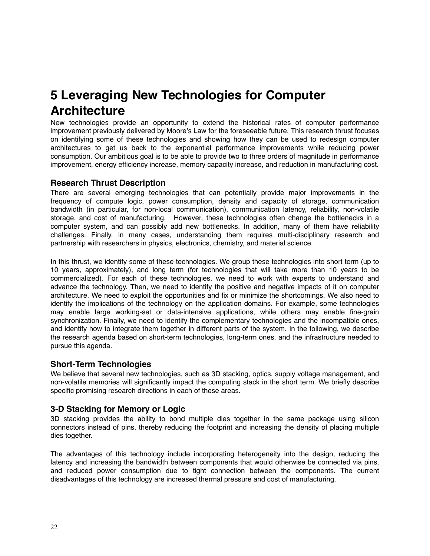## <span id="page-21-0"></span>**5 Leveraging New Technologies for Computer Architecture**

New technologies provide an opportunity to extend the historical rates of computer performance improvement previously delivered by Moore's Law for the foreseeable future. This research thrust focuses on identifying some of these technologies and showing how they can be used to redesign computer architectures to get us back to the exponential performance improvements while reducing power consumption. Our ambitious goal is to be able to provide two to three orders of magnitude in performance improvement, energy efficiency increase, memory capacity increase, and reduction in manufacturing cost.

## <span id="page-21-1"></span>**Research Thrust Description**

There are several emerging technologies that can potentially provide major improvements in the frequency of compute logic, power consumption, density and capacity of storage, communication bandwidth (in particular, for non-local communication), communication latency, reliability, non-volatile storage, and cost of manufacturing. However, these technologies often change the bottlenecks in a computer system, and can possibly add new bottlenecks. In addition, many of them have reliability challenges. Finally, in many cases, understanding them requires multi-disciplinary research and partnership with researchers in physics, electronics, chemistry, and material science.

In this thrust, we identify some of these technologies. We group these technologies into short term (up to 10 years, approximately), and long term (for technologies that will take more than 10 years to be commercialized). For each of these technologies, we need to work with experts to understand and advance the technology. Then, we need to identify the positive and negative impacts of it on computer architecture. We need to exploit the opportunities and fix or minimize the shortcomings. We also need to identify the implications of the technology on the application domains. For example, some technologies may enable large working-set or data-intensive applications, while others may enable fine-grain synchronization. Finally, we need to identify the complementary technologies and the incompatible ones, and identify how to integrate them together in different parts of the system. In the following, we describe the research agenda based on short-term technologies, long-term ones, and the infrastructure needed to pursue this agenda.

## **Short-Term Technologies**

We believe that several new technologies, such as 3D stacking, optics, supply voltage management, and non-volatile memories will significantly impact the computing stack in the short term. We briefly describe specific promising research directions in each of these areas.

## **3-D Stacking for Memory or Logic**

3D stacking provides the ability to bond multiple dies together in the same package using silicon connectors instead of pins, thereby reducing the footprint and increasing the density of placing multiple dies together.

The advantages of this technology include incorporating heterogeneity into the design, reducing the latency and increasing the bandwidth between components that would otherwise be connected via pins, and reduced power consumption due to tight connection between the components. The current disadvantages of this technology are increased thermal pressure and cost of manufacturing.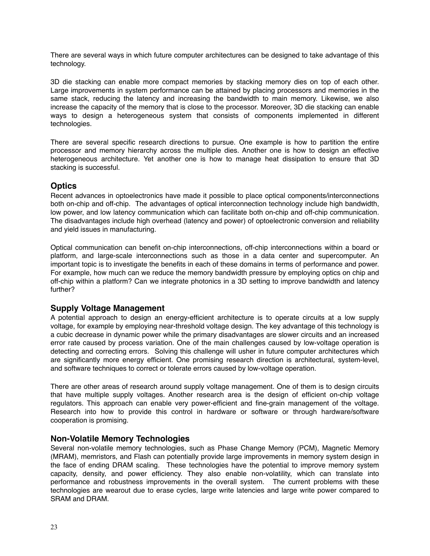There are several ways in which future computer architectures can be designed to take advantage of this technology.

3D die stacking can enable more compact memories by stacking memory dies on top of each other. Large improvements in system performance can be attained by placing processors and memories in the same stack, reducing the latency and increasing the bandwidth to main memory. Likewise, we also increase the capacity of the memory that is close to the processor. Moreover, 3D die stacking can enable ways to design a heterogeneous system that consists of components implemented in different technologies.

There are several specific research directions to pursue. One example is how to partition the entire processor and memory hierarchy across the multiple dies. Another one is how to design an effective heterogeneous architecture. Yet another one is how to manage heat dissipation to ensure that 3D stacking is successful.

#### **Optics**

Recent advances in optoelectronics have made it possible to place optical components/interconnections both on-chip and off-chip. The advantages of optical interconnection technology include high bandwidth, low power, and low latency communication which can facilitate both on-chip and off-chip communication. The disadvantages include high overhead (latency and power) of optoelectronic conversion and reliability and yield issues in manufacturing.

Optical communication can benefit on-chip interconnections, off-chip interconnections within a board or platform, and large-scale interconnections such as those in a data center and supercomputer. An important topic is to investigate the benefits in each of these domains in terms of performance and power. For example, how much can we reduce the memory bandwidth pressure by employing optics on chip and off-chip within a platform? Can we integrate photonics in a 3D setting to improve bandwidth and latency further?

## **Supply Voltage Management**

A potential approach to design an energy-efficient architecture is to operate circuits at a low supply voltage, for example by employing near-threshold voltage design. The key advantage of this technology is a cubic decrease in dynamic power while the primary disadvantages are slower circuits and an increased error rate caused by process variation. One of the main challenges caused by low-voltage operation is detecting and correcting errors. Solving this challenge will usher in future computer architectures which are significantly more energy efficient. One promising research direction is architectural, system-level, and software techniques to correct or tolerate errors caused by low-voltage operation.

There are other areas of research around supply voltage management. One of them is to design circuits that have multiple supply voltages. Another research area is the design of efficient on-chip voltage regulators. This approach can enable very power-efficient and fine-grain management of the voltage. Research into how to provide this control in hardware or software or through hardware/software cooperation is promising.

#### **Non-Volatile Memory Technologies**

Several non-volatile memory technologies, such as Phase Change Memory (PCM), Magnetic Memory (MRAM), memristors, and Flash can potentially provide large improvements in memory system design in the face of ending DRAM scaling. These technologies have the potential to improve memory system capacity, density, and power efficiency. They also enable non-volatility, which can translate into performance and robustness improvements in the overall system. The current problems with these technologies are wearout due to erase cycles, large write latencies and large write power compared to SRAM and DRAM.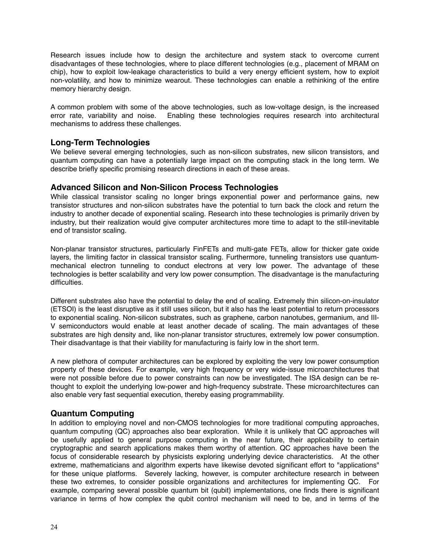Research issues include how to design the architecture and system stack to overcome current disadvantages of these technologies, where to place different technologies (e.g., placement of MRAM on chip), how to exploit low-leakage characteristics to build a very energy efficient system, how to exploit non-volatility, and how to minimize wearout. These technologies can enable a rethinking of the entire memory hierarchy design.

A common problem with some of the above technologies, such as low-voltage design, is the increased error rate, variability and noise. Enabling these technologies requires research into architectural Enabling these technologies requires research into architectural mechanisms to address these challenges.

#### **Long-Term Technologies**

We believe several emerging technologies, such as non-silicon substrates, new silicon transistors, and quantum computing can have a potentially large impact on the computing stack in the long term. We describe briefly specific promising research directions in each of these areas.

#### **Advanced Silicon and Non-Silicon Process Technologies**

While classical transistor scaling no longer brings exponential power and performance gains, new transistor structures and non-silicon substrates have the potential to turn back the clock and return the industry to another decade of exponential scaling. Research into these technologies is primarily driven by industry, but their realization would give computer architectures more time to adapt to the still-inevitable end of transistor scaling.

Non-planar transistor structures, particularly FinFETs and multi-gate FETs, allow for thicker gate oxide layers, the limiting factor in classical transistor scaling. Furthermore, tunneling transistors use quantummechanical electron tunneling to conduct electrons at very low power. The advantage of these technologies is better scalability and very low power consumption. The disadvantage is the manufacturing difficulties.

Different substrates also have the potential to delay the end of scaling. Extremely thin silicon-on-insulator (ETSOI) is the least disruptive as it still uses silicon, but it also has the least potential to return processors to exponential scaling. Non-silicon substrates, such as graphene, carbon nanotubes, germanium, and III-V semiconductors would enable at least another decade of scaling. The main advantages of these substrates are high density and, like non-planar transistor structures, extremely low power consumption. Their disadvantage is that their viability for manufacturing is fairly low in the short term.

A new plethora of computer architectures can be explored by exploiting the very low power consumption property of these devices. For example, very high frequency or very wide-issue microarchitectures that were not possible before due to power constraints can now be investigated. The ISA design can be rethought to exploit the underlying low-power and high-frequency substrate. These microarchitectures can also enable very fast sequential execution, thereby easing programmability.

## **Quantum Computing**

In addition to employing novel and non-CMOS technologies for more traditional computing approaches, quantum computing (QC) approaches also bear exploration. While it is unlikely that QC approaches will be usefully applied to general purpose computing in the near future, their applicability to certain cryptographic and search applications makes them worthy of attention. QC approaches have been the focus of considerable research by physicists exploring underlying device characteristics. At the other extreme, mathematicians and algorithm experts have likewise devoted significant effort to "applications" for these unique platforms. Severely lacking, however, is computer architecture research in between these two extremes, to consider possible organizations and architectures for implementing QC. For example, comparing several possible quantum bit (qubit) implementations, one finds there is significant variance in terms of how complex the qubit control mechanism will need to be, and in terms of the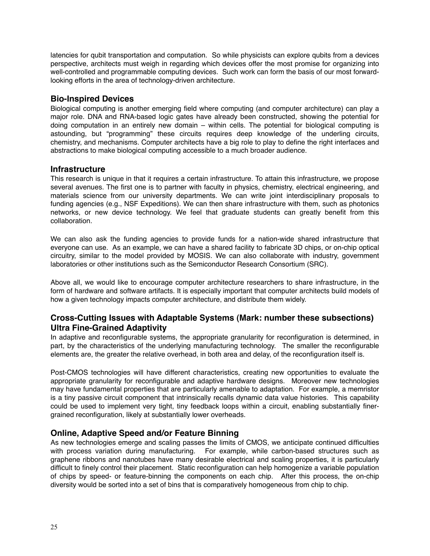latencies for qubit transportation and computation. So while physicists can explore qubits from a devices perspective, architects must weigh in regarding which devices offer the most promise for organizing into well-controlled and programmable computing devices. Such work can form the basis of our most forwardlooking efforts in the area of technology-driven architecture.

## **Bio-Inspired Devices**

Biological computing is another emerging field where computing (and computer architecture) can play a major role. DNA and RNA-based logic gates have already been constructed, showing the potential for doing computation in an entirely new domain – within cells. The potential for biological computing is astounding, but "programming" these circuits requires deep knowledge of the underling circuits, chemistry, and mechanisms. Computer architects have a big role to play to define the right interfaces and abstractions to make biological computing accessible to a much broader audience.

#### **Infrastructure**

This research is unique in that it requires a certain infrastructure. To attain this infrastructure, we propose several avenues. The first one is to partner with faculty in physics, chemistry, electrical engineering, and materials science from our university departments. We can write joint interdisciplinary proposals to funding agencies (e.g., NSF Expeditions). We can then share infrastructure with them, such as photonics networks, or new device technology. We feel that graduate students can greatly benefit from this collaboration.

We can also ask the funding agencies to provide funds for a nation-wide shared infrastructure that everyone can use. As an example, we can have a shared facility to fabricate 3D chips, or on-chip optical circuitry, similar to the model provided by MOSIS. We can also collaborate with industry, government laboratories or other institutions such as the Semiconductor Research Consortium (SRC).

Above all, we would like to encourage computer architecture researchers to share infrastructure, in the form of hardware and software artifacts. It is especially important that computer architects build models of how a given technology impacts computer architecture, and distribute them widely.

## **Cross-Cutting Issues with Adaptable Systems (Mark: number these subsections) Ultra Fine-Grained Adaptivity**

In adaptive and reconfigurable systems, the appropriate granularity for reconfiguration is determined, in part, by the characteristics of the underlying manufacturing technology. The smaller the reconfigurable elements are, the greater the relative overhead, in both area and delay, of the reconfiguration itself is.

Post-CMOS technologies will have different characteristics, creating new opportunities to evaluate the appropriate granularity for reconfigurable and adaptive hardware designs. Moreover new technologies may have fundamental properties that are particularly amenable to adaptation. For example, a memristor is a tiny passive circuit component that intrinsically recalls dynamic data value histories. This capability could be used to implement very tight, tiny feedback loops within a circuit, enabling substantially finergrained reconfiguration, likely at substantially lower overheads.

## **Online, Adaptive Speed and/or Feature Binning**

As new technologies emerge and scaling passes the limits of CMOS, we anticipate continued difficulties with process variation during manufacturing. For example, while carbon-based structures such as graphene ribbons and nanotubes have many desirable electrical and scaling properties, it is particularly difficult to finely control their placement. Static reconfiguration can help homogenize a variable population of chips by speed- or feature-binning the components on each chip. After this process, the on-chip diversity would be sorted into a set of bins that is comparatively homogeneous from chip to chip.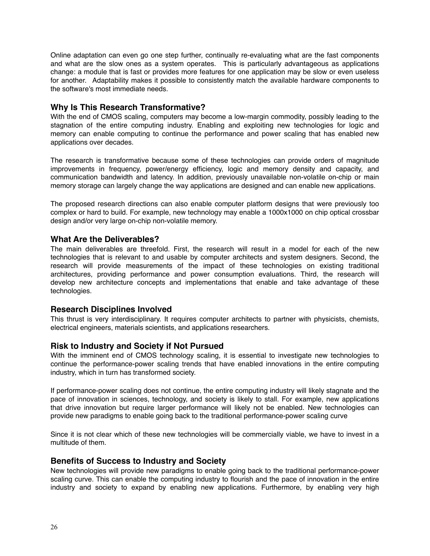Online adaptation can even go one step further, continually re-evaluating what are the fast components and what are the slow ones as a system operates. This is particularly advantageous as applications change: a module that is fast or provides more features for one application may be slow or even useless for another. Adaptability makes it possible to consistently match the available hardware components to the software's most immediate needs.

## <span id="page-25-0"></span>**Why Is This Research Transformative?**

With the end of CMOS scaling, computers may become a low-margin commodity, possibly leading to the stagnation of the entire computing industry. Enabling and exploiting new technologies for logic and memory can enable computing to continue the performance and power scaling that has enabled new applications over decades.

The research is transformative because some of these technologies can provide orders of magnitude improvements in frequency, power/energy efficiency, logic and memory density and capacity, and communication bandwidth and latency. In addition, previously unavailable non-volatile on-chip or main memory storage can largely change the way applications are designed and can enable new applications.

The proposed research directions can also enable computer platform designs that were previously too complex or hard to build. For example, new technology may enable a 1000x1000 on chip optical crossbar design and/or very large on-chip non-volatile memory.

#### <span id="page-25-1"></span>**What Are the Deliverables?**

The main deliverables are threefold. First, the research will result in a model for each of the new technologies that is relevant to and usable by computer architects and system designers. Second, the research will provide measurements of the impact of these technologies on existing traditional architectures, providing performance and power consumption evaluations. Third, the research will develop new architecture concepts and implementations that enable and take advantage of these technologies.

#### <span id="page-25-2"></span>**Research Disciplines Involved**

This thrust is very interdisciplinary. It requires computer architects to partner with physicists, chemists, electrical engineers, materials scientists, and applications researchers.

#### <span id="page-25-3"></span>**Risk to Industry and Society if Not Pursued**

With the imminent end of CMOS technology scaling, it is essential to investigate new technologies to continue the performance-power scaling trends that have enabled innovations in the entire computing industry, which in turn has transformed society.

If performance-power scaling does not continue, the entire computing industry will likely stagnate and the pace of innovation in sciences, technology, and society is likely to stall. For example, new applications that drive innovation but require larger performance will likely not be enabled. New technologies can provide new paradigms to enable going back to the traditional performance-power scaling curve

Since it is not clear which of these new technologies will be commercially viable, we have to invest in a multitude of them.

#### <span id="page-25-4"></span>**Benefits of Success to Industry and Society**

New technologies will provide new paradigms to enable going back to the traditional performance-power scaling curve. This can enable the computing industry to flourish and the pace of innovation in the entire industry and society to expand by enabling new applications. Furthermore, by enabling very high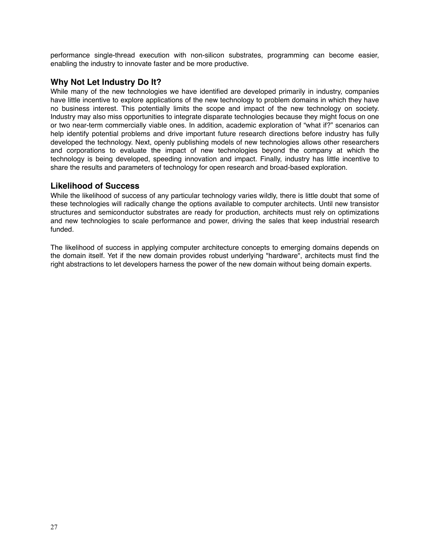performance single-thread execution with non-silicon substrates, programming can become easier, enabling the industry to innovate faster and be more productive.

#### <span id="page-26-0"></span>**Why Not Let Industry Do It?**

While many of the new technologies we have identified are developed primarily in industry, companies have little incentive to explore applications of the new technology to problem domains in which they have no business interest. This potentially limits the scope and impact of the new technology on society. Industry may also miss opportunities to integrate disparate technologies because they might focus on one or two near-term commercially viable ones. In addition, academic exploration of "what if?" scenarios can help identify potential problems and drive important future research directions before industry has fully developed the technology. Next, openly publishing models of new technologies allows other researchers and corporations to evaluate the impact of new technologies beyond the company at which the technology is being developed, speeding innovation and impact. Finally, industry has little incentive to share the results and parameters of technology for open research and broad-based exploration.

#### <span id="page-26-1"></span>**Likelihood of Success**

While the likelihood of success of any particular technology varies wildly, there is little doubt that some of these technologies will radically change the options available to computer architects. Until new transistor structures and semiconductor substrates are ready for production, architects must rely on optimizations and new technologies to scale performance and power, driving the sales that keep industrial research funded.

The likelihood of success in applying computer architecture concepts to emerging domains depends on the domain itself. Yet if the new domain provides robust underlying "hardware", architects must find the right abstractions to let developers harness the power of the new domain without being domain experts.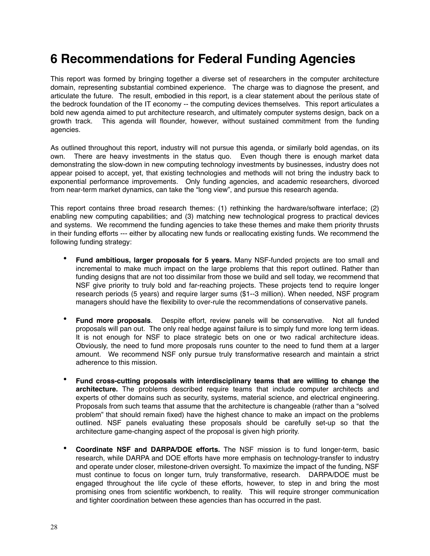## <span id="page-27-0"></span>**6 Recommendations for Federal Funding Agencies**

This report was formed by bringing together a diverse set of researchers in the computer architecture domain, representing substantial combined experience. The charge was to diagnose the present, and articulate the future. The result, embodied in this report, is a clear statement about the perilous state of the bedrock foundation of the IT economy -- the computing devices themselves. This report articulates a bold new agenda aimed to put architecture research, and ultimately computer systems design, back on a growth track. This agenda will flounder, however, without sustained commitment from the funding agencies.

As outlined throughout this report, industry will not pursue this agenda, or similarly bold agendas, on its own. There are heavy investments in the status quo. Even though there is enough market data demonstrating the slow-down in new computing technology investments by businesses, industry does not appear poised to accept, yet, that existing technologies and methods will not bring the industry back to exponential performance improvements. Only funding agencies, and academic researchers, divorced from near-term market dynamics, can take the "long view", and pursue this research agenda.

This report contains three broad research themes: (1) rethinking the hardware/software interface; (2) enabling new computing capabilities; and (3) matching new technological progress to practical devices and systems. We recommend the funding agencies to take these themes and make them priority thrusts in their funding efforts --- either by allocating new funds or reallocating existing funds. We recommend the following funding strategy:

- **Fund ambitious, larger proposals for 5 years.** Many NSF-funded projects are too small and incremental to make much impact on the large problems that this report outlined. Rather than funding designs that are not too dissimilar from those we build and sell today, we recommend that NSF give priority to truly bold and far-reaching projects. These projects tend to require longer research periods (5 years) and require larger sums (\$1--3 million). When needed, NSF program managers should have the flexibility to over-rule the recommendations of conservative panels.
- **Fund more proposals**. Despite effort, review panels will be conservative. Not all funded proposals will pan out. The only real hedge against failure is to simply fund more long term ideas. It is not enough for NSF to place strategic bets on one or two radical architecture ideas. Obviously, the need to fund more proposals runs counter to the need to fund them at a larger amount. We recommend NSF only pursue truly transformative research and maintain a strict adherence to this mission.
- **Fund cross-cutting proposals with interdisciplinary teams that are willing to change the architecture.** The problems described require teams that include computer architects and experts of other domains such as security, systems, material science, and electrical engineering. Proposals from such teams that assume that the architecture is changeable (rather than a "solved problem" that should remain fixed) have the highest chance to make an impact on the problems outlined. NSF panels evaluating these proposals should be carefully set-up so that the architecture game-changing aspect of the proposal is given high priority.
- **Coordinate NSF and DARPA/DOE efforts.** The NSF mission is to fund longer-term, basic research, while DARPA and DOE efforts have more emphasis on technology-transfer to industry and operate under closer, milestone-driven oversight. To maximize the impact of the funding, NSF must continue to focus on longer turn, truly transformative, research. DARPA/DOE must be engaged throughout the life cycle of these efforts, however, to step in and bring the most promising ones from scientific workbench, to reality. This will require stronger communication and tighter coordination between these agencies than has occurred in the past.